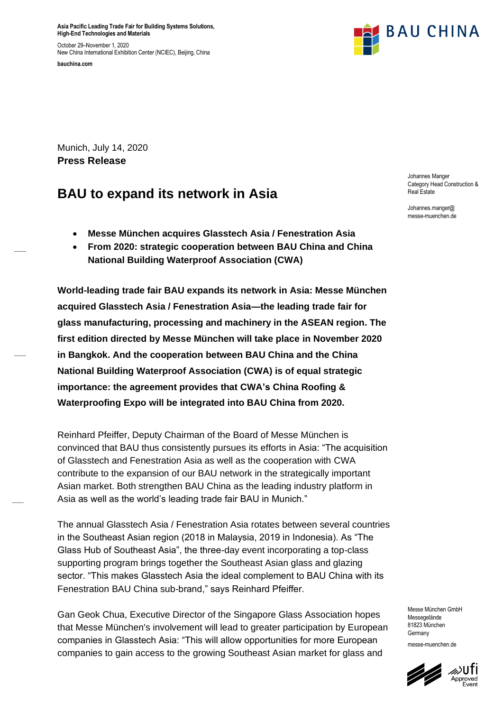**Asia Pacific Leading Trade Fair for Building Systems Solutions, High-End Technologies and Materials**

October 29–November 1, 2020 New China International Exhibition Center (NCIEC), Beijing, China

**bauchina.com**



Munich, July 14, 2020 **Press Release**

# **BAU to expand its network in Asia**

- **Messe München acquires Glasstech Asia / Fenestration Asia**
- **From 2020: strategic cooperation between BAU China and China National Building Waterproof Association (CWA)**

**World-leading trade fair BAU expands its network in Asia: Messe München acquired Glasstech Asia / Fenestration Asia—the leading trade fair for glass manufacturing, processing and machinery in the ASEAN region. The first edition directed by Messe München will take place in November 2020 in Bangkok. And the cooperation between BAU China and the China National Building Waterproof Association (CWA) is of equal strategic importance: the agreement provides that CWA's China Roofing & Waterproofing Expo will be integrated into BAU China from 2020.**

Reinhard Pfeiffer, Deputy Chairman of the Board of Messe München is convinced that BAU thus consistently pursues its efforts in Asia: "The acquisition of Glasstech and Fenestration Asia as well as the cooperation with CWA contribute to the expansion of our BAU network in the strategically important Asian market. Both strengthen BAU China as the leading industry platform in Asia as well as the world's leading trade fair BAU in Munich."

The annual Glasstech Asia / Fenestration Asia rotates between several countries in the Southeast Asian region (2018 in Malaysia, 2019 in Indonesia). As "The Glass Hub of Southeast Asia", the three-day event incorporating a top-class supporting program brings together the Southeast Asian glass and glazing sector. "This makes Glasstech Asia the ideal complement to BAU China with its Fenestration BAU China sub-brand," says Reinhard Pfeiffer.

Gan Geok Chua, Executive Director of the Singapore Glass Association hopes that Messe München's involvement will lead to greater participation by European companies in Glasstech Asia: "This will allow opportunities for more European companies to gain access to the growing Southeast Asian market for glass and

Johannes Manger Category Head Construction & Real Estate

Johannes.manger@ messe-muenchen.de

Messe München GmbH Messegelände 81823 München **Germany** messe-muenchen.de

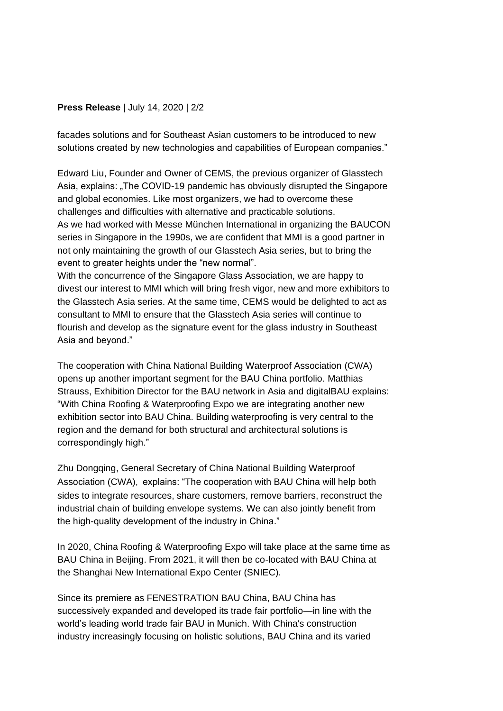## **Press Release** | July 14, 2020 | 2/2

facades solutions and for Southeast Asian customers to be introduced to new solutions created by new technologies and capabilities of European companies."

Edward Liu, Founder and Owner of CEMS, the previous organizer of Glasstech Asia, explains: "The COVID-19 pandemic has obviously disrupted the Singapore and global economies. Like most organizers, we had to overcome these challenges and difficulties with alternative and practicable solutions. As we had worked with Messe München International in organizing the BAUCON series in Singapore in the 1990s, we are confident that MMI is a good partner in not only maintaining the growth of our Glasstech Asia series, but to bring the event to greater heights under the "new normal". With the concurrence of the Singapore Glass Association, we are happy to

divest our interest to MMI which will bring fresh vigor, new and more exhibitors to the Glasstech Asia series. At the same time, CEMS would be delighted to act as consultant to MMI to ensure that the Glasstech Asia series will continue to flourish and develop as the signature event for the glass industry in Southeast Asia and beyond."

The cooperation with China National Building Waterproof Association (CWA) opens up another important segment for the BAU China portfolio. Matthias Strauss, Exhibition Director for the BAU network in Asia and digitalBAU explains: "With China Roofing & Waterproofing Expo we are integrating another new exhibition sector into BAU China. Building waterproofing is very central to the region and the demand for both structural and architectural solutions is correspondingly high."

Zhu Dongqing, General Secretary of China National Building Waterproof Association (CWA), explains: "The cooperation with BAU China will help both sides to integrate resources, share customers, remove barriers, reconstruct the industrial chain of building envelope systems. We can also jointly benefit from the high-quality development of the industry in China."

In 2020, China Roofing & Waterproofing Expo will take place at the same time as BAU China in Beijing. From 2021, it will then be co-located with BAU China at the Shanghai New International Expo Center (SNIEC).

Since its premiere as FENESTRATION BAU China, BAU China has successively expanded and developed its trade fair portfolio—in line with the world's leading world trade fair BAU in Munich. With China's construction industry increasingly focusing on holistic solutions, BAU China and its varied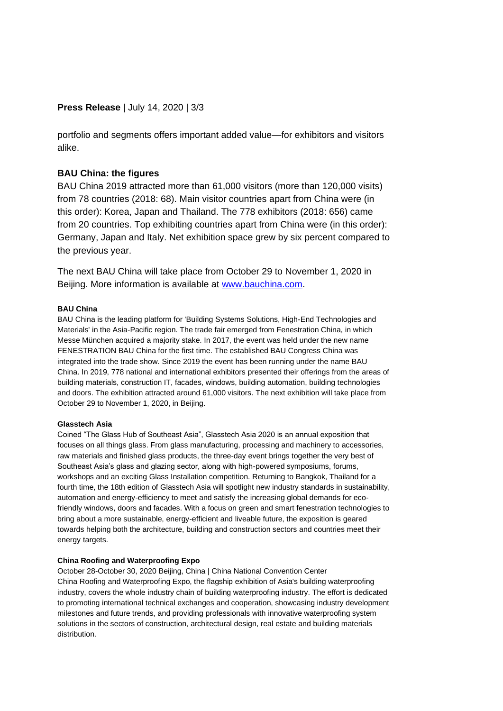## **Press Release** | July 14, 2020 | 3/3

portfolio and segments offers important added value—for exhibitors and visitors alike.

### **BAU China: the figures**

BAU China 2019 attracted more than 61,000 visitors (more than 120,000 visits) from 78 countries (2018: 68). Main visitor countries apart from China were (in this order): Korea, Japan and Thailand. The 778 exhibitors (2018: 656) came from 20 countries. Top exhibiting countries apart from China were (in this order): Germany, Japan and Italy. Net exhibition space grew by six percent compared to the previous year.

The next BAU China will take place from October 29 to November 1, 2020 in Beijing. More information is available at [www.bauchina.com.](http://www.bauchina.com/)

#### **BAU China**

BAU China is the leading platform for 'Building Systems Solutions, High-End Technologies and Materials' in the Asia-Pacific region. The trade fair emerged from Fenestration China, in which Messe München acquired a majority stake. In 2017, the event was held under the new name FENESTRATION BAU China for the first time. The established BAU Congress China was integrated into the trade show. Since 2019 the event has been running under the name BAU China. In 2019, 778 national and international exhibitors presented their offerings from the areas of building materials, construction IT, facades, windows, building automation, building technologies and doors. The exhibition attracted around 61,000 visitors. The next exhibition will take place from October 29 to November 1, 2020, in Beijing.

#### **Glasstech Asia**

Coined "The Glass Hub of Southeast Asia", Glasstech Asia 2020 is an annual exposition that focuses on all things glass. From glass manufacturing, processing and machinery to accessories, raw materials and finished glass products, the three-day event brings together the very best of Southeast Asia's glass and glazing sector, along with high-powered symposiums, forums, workshops and an exciting Glass Installation competition. Returning to Bangkok, Thailand for a fourth time, the 18th edition of Glasstech Asia will spotlight new industry standards in sustainability, automation and energy-efficiency to meet and satisfy the increasing global demands for ecofriendly windows, doors and facades. With a focus on green and smart fenestration technologies to bring about a more sustainable, energy-efficient and liveable future, the exposition is geared towards helping both the architecture, building and construction sectors and countries meet their energy targets.

#### **China Roofing and Waterproofing Expo**

October 28-October 30, 2020 Beijing, China | China National Convention Center China Roofing and Waterproofing Expo, the flagship exhibition of Asia's building waterproofing industry, covers the whole industry chain of building waterproofing industry. The effort is dedicated to promoting international technical exchanges and cooperation, showcasing industry development milestones and future trends, and providing professionals with innovative waterproofing system solutions in the sectors of construction, architectural design, real estate and building materials distribution.